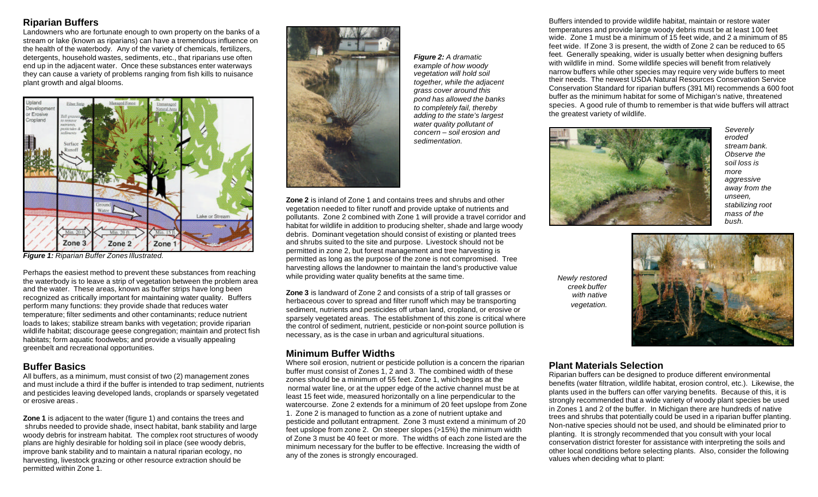# **Riparian Buffers**

Landowners who are fortunate enough to own property on the banks of a stream or lake (known as riparians) can have a tremendous influence on the health of the waterbody. Any of the variety of chemicals, fertilizers, detergents, household wastes, sediments, etc., that riparians use often end up in the adjacent water. Once these substances enter waterways they can cause a variety of problems ranging from fish kills to nuisance plant growth and algal blooms.



*Figure 1: Riparian Buffer Zones Illustrated.*

Perhaps the easiest method to prevent these substances from reaching the waterbody is to leave a strip of vegetation between the problem area and the water. These areas, known as buffer strips have long been recognized as critically important for maintaining water quality. Buffers perform many functions: they provide shade that reduces water temperature; filter sediments and other contaminants; reduce nutrient loads to lakes; stabilize stream banks with vegetation; provide riparian wildlife habitat; discourage geese congregation; maintain and protect fish habitats; form aquatic foodwebs; and provide a visually appealing greenbelt and recreational opportunities.

### **Buffer Basics**

All buffers, as a minimum, must consist of two (2) management zones and must include a third if the buffer is intended to trap sediment, nutrients and pesticides leaving developed lands, croplands or sparsely vegetated or erosive areas .

**Zone 1** is adjacent to the water (figure 1) and contains the trees and shrubs needed to provide shade, insect habitat, bank stability and large woody debris for instream habitat. The complex root structures of woody plans are highly desirable for holding soil in place (see woody debris, improve bank stability and to maintain a natural riparian ecology, no harvesting, livestock grazing or other resource extraction should be permitted within Zone 1.



*Figure 2: A dramatic example of how woody vegetation will hold soil together, while the adjacent grass cover around this pond has allowed the banks to completely fail, thereby adding to the state's largest water quality pollutant of concern – soil erosion and sedimentation.*

**Zone 2** is inland of Zone 1 and contains trees and shrubs and other vegetation needed to filter runoff and provide uptake of nutrients and pollutants. Zone 2 combined with Zone 1 will provide a travel corridor and habitat for wildlife in addition to producing shelter, shade and large woody debris. Dominant vegetation should consist of existing or planted trees and shrubs suited to the site and purpose. Livestock should not be permitted in zone 2, but forest management and tree harvesting is permitted as long as the purpose of the zone is not compromised. Tree harvesting allows the landowner to maintain the land's productive value while providing water quality benefits at the same time.

**Zone 3** is landward of Zone 2 and consists of a strip of tall grasses or herbaceous cover to spread and filter runoff which may be transporting sediment, nutrients and pesticides off urban land, cropland, or erosive or sparsely vegetated areas. The establishment of this zone is critical where the control of sediment, nutrient, pesticide or non-point source pollution is necessary, as is the case in urban and agricultural situations.

# **Minimum Buffer Widths**

Where soil erosion, nutrient or pesticide pollution is a concern the riparian buffer must consist of Zones 1, 2 and 3. The combined width of these zones should be a minimum of 55 feet. Zone 1, which begins at the normal water line, or at the upper edge of the active channel must be at least 15 feet wide, measured horizontally on a line perpendicular to the watercourse. Zone 2 extends for a minimum of 20 feet upslope from Zone 1. Zone 2 is managed to function as a zone of nutrient uptake and pesticide and pollutant entrapment. Zone 3 must extend a minimum of 20 feet upslope from zone 2. On steeper slopes (>15%) the minimum width of Zone 3 must be 40 feet or more. The widths of each zone listed are the minimum necessary for the buffer to be effective. Increasing the width of any of the zones is strongly encouraged.

Buffers intended to provide wildlife habitat, maintain or restore water temperatures and provide large woody debris must be at least 100 feet wide. Zone 1 must be a minimum of 15 feet wide, and 2 a minimum of 85 feet wide. If Zone 3 is present, the width of Zone 2 can be reduced to 65 feet. Generally speaking, wider is usually better when designing buffers with wildlife in mind. Some wildlife species will benefit from relatively narrow buffers while other species may require very wide buffers to meet their needs. The newest USDA Natural Resources Conservation Service Conservation Standard for riparian buffers (391 MI) recommends a 600 foot buffer as the minimum habitat for some of Michigan's native, threatened species. A good rule of thumb to remember is that wide buffers will attract the greatest variety of wildlife.



*Severely eroded stream bank. Observe the soil loss is more aggressive away from the unseen, stabilizing root mass of the bush.*

*Newly restored creek buffer with native vegetation.*



# **Plant Materials Selection**

Riparian buffers can be designed to produce different environmental benefits (water filtration, wildlife habitat, erosion control, etc.). Likewise, the plants used in the buffers can offer varying benefits. Because of this, it is strongly recommended that a wide variety of woody plant species be used in Zones 1 and 2 of the buffer. In Michigan there are hundreds of native trees and shrubs that potentially could be used in a riparian buffer planting. Non-native species should not be used, and should be eliminated prior to planting. It is strongly recommended that you consult with your local conservation district forester for assistance with interpreting the soils and other local conditions before selecting plants. Also, consider the following values when deciding what to plant: